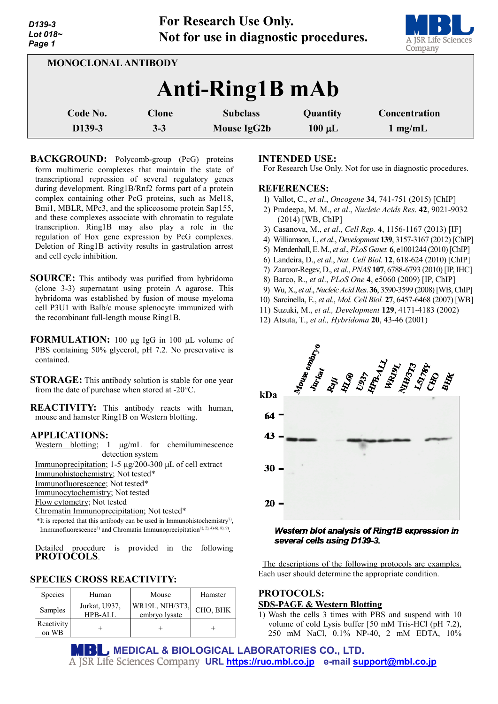**For Research Use Only. Not for use in diagnostic procedures.**



| <b>MONOCLONAL ANTIBODY</b> |                         |                                |                         |                            |  |  |
|----------------------------|-------------------------|--------------------------------|-------------------------|----------------------------|--|--|
| Anti-Ring1B mAb            |                         |                                |                         |                            |  |  |
| Code No.<br>D139-3         | <b>Clone</b><br>$3 - 3$ | <b>Subclass</b><br>Mouse IgG2b | Quantity<br>$100 \mu L$ | Concentration<br>$1$ mg/mL |  |  |

**BACKGROUND:** Polycomb-group (PcG) proteins form multimeric complexes that maintain the state of transcriptional repression of several regulatory genes during development. Ring1B/Rnf2 forms part of a protein complex containing other PcG proteins, such as Mel18, Bmi1, MBLR, MPc3, and the spliceosome protein Sap155, and these complexes associate with chromatin to regulate transcription. Ring1B may also play a role in the regulation of Hox gene expression by PcG complexes. Deletion of Ring1B activity results in gastrulation arrest and cell cycle inhibition.

- **SOURCE:** This antibody was purified from hybridoma (clone 3-3) supernatant using protein A agarose. This hybridoma was established by fusion of mouse myeloma cell P3U1 with Balb/c mouse splenocyte immunized with the recombinant full-length mouse Ring1B.
- **FORMULATION:** 100 µg IgG in 100 µL volume of PBS containing 50% glycerol, pH 7.2. No preservative is contained.

**STORAGE:** This antibody solution is stable for one year from the date of purchase when stored at -20°C.

**REACTIVITY:** This antibody reacts with human, mouse and hamster Ring1B on Western blotting.

## **APPLICATIONS:**

Western blotting; 1  $\mu$ g/mL for chemiluminescence detection system

Immunoprecipitation; 1-5 µg/200-300 µL of cell extract Immunohistochemistry; Not tested\*

Immunofluorescence; Not tested\*

Immunocytochemistry; Not tested

Flow cytometry; Not tested

Chromatin Immunoprecipitation; Not tested\*

 $*$ It is reported that this antibody can be used in Immunohistochemistry<sup>7)</sup>, Immunofluorescence<sup>3)</sup> and Chromatin Immunoprecipitation<sup>1), 2), 4)-6), 8), 9).</sup>

Detailed procedure is provided in the following **PROTOCOLS**.

# **SPECIES CROSS REACTIVITY:**

| Species             | Human                           | Mouse                            | Hamster  |
|---------------------|---------------------------------|----------------------------------|----------|
| Samples             | Jurkat, U937,<br><b>HPB-ALL</b> | WR19L, NIH/3T3,<br>embryo lysate | CHO, BHK |
| Reactivity<br>on WB |                                 |                                  |          |

## **INTENDED USE:**

For Research Use Only. Not for use in diagnostic procedures.

## **REFERENCES:**

- 1) Vallot, C., *et al*., *Oncogene* **34**, 741-751 (2015) [ChIP]
- 2) Pradeepa, M. M., *et al*., *Nucleic Acids Res*. **42**, 9021-9032 (2014) [WB, ChIP]
- 3) Casanova, M., *et al*., *Cell Rep.* **4**, 1156-1167 (2013) [IF]
- 4) Williamson, I., *et al*., *Development* **139**, 3157-3167 (2012) [ChIP]
- 5) Mendenhall, E. M., *et al*., *PLoS Genet.* **6**, e1001244 (2010)[ChIP]
- 6) Landeira, D., *et al*., *Nat. Cell Biol*. **12**, 618-624 (2010) [ChIP]
- 7) Zaaroor-Regev, D., *et al*., *PNAS* **107**, 6788-6793 (2010) [IP, IHC]
- 8) Barco, R., *et al*., *PLoS One* **4**, e5060 (2009) [IP, ChIP]
- 9) Wu, X., *et al*., *Nucleic Acid Res*. **36**, 3590-3599 (2008)[WB, ChIP]
- 10) Sarcinella, E., *et al*., *Mol. Cell Biol.* **27**, 6457-6468 (2007) [WB]
- 11) Suzuki, M., *et al., Development* **129**, 4171-4183 (2002)
- 12) Atsuta, T., *et al., Hybridoma* **20**, 43-46 (2001)



#### Western blot analysis of Ring1B expression in several cells using D139-3.

The descriptions of the following protocols are examples. Each user should determine the appropriate condition.

# **PROTOCOLS: SDS-PAGE & Western Blotting**

1) Wash the cells 3 times with PBS and suspend with 10 volume of cold Lysis buffer [50 mM Tris-HCl (pH 7.2), 250 mM NaCl, 0.1% NP-40, 2 mM EDTA, 10%

**MEDICAL & BIOLOGICAL LABORATORIES CO., LTD. URL [https://ruo.mbl.co.jp](https://ruo.mbl.co.jp/) e-mail [support@mbl.co.jp](mailto:support@mbl.co.jp)**